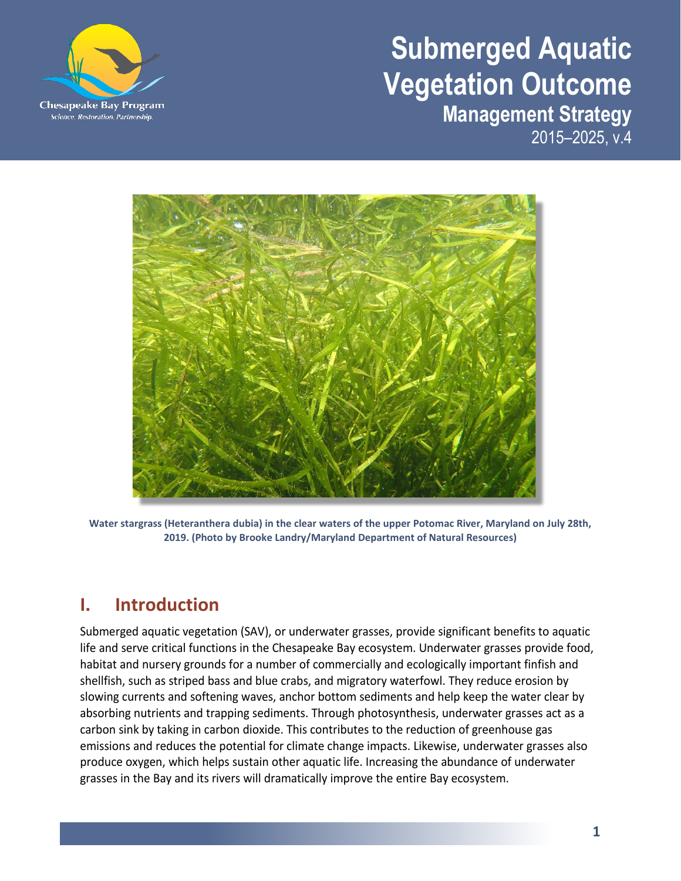# **Submerged Aquatic Vegetation Outcome Management Strategy** 2015–2025, v.4





**Water stargrass (Heteranthera dubia) in the clear waters of the upper Potomac River, Maryland on July 28th, 2019. (Photo by Brooke Landry/Maryland Department of Natural Resources)**

# **I. Introduction**

Submerged aquatic vegetation (SAV), or underwater grasses, provide significant benefits to aquatic life and serve critical functions in the Chesapeake Bay ecosystem. Underwater grasses provide food, habitat and nursery grounds for a number of commercially and ecologically important finfish and shellfish, such as striped bass and blue crabs, and migratory waterfowl. They reduce erosion by slowing currents and softening waves, anchor bottom sediments and help keep the water clear by absorbing nutrients and trapping sediments. Through photosynthesis, underwater grasses act as a carbon sink by taking in carbon dioxide. This contributes to the reduction of greenhouse gas emissions and reduces the potential for climate change impacts. Likewise, underwater grasses also produce oxygen, which helps sustain other aquatic life. Increasing the abundance of underwater grasses in the Bay and its rivers will dramatically improve the entire Bay ecosystem.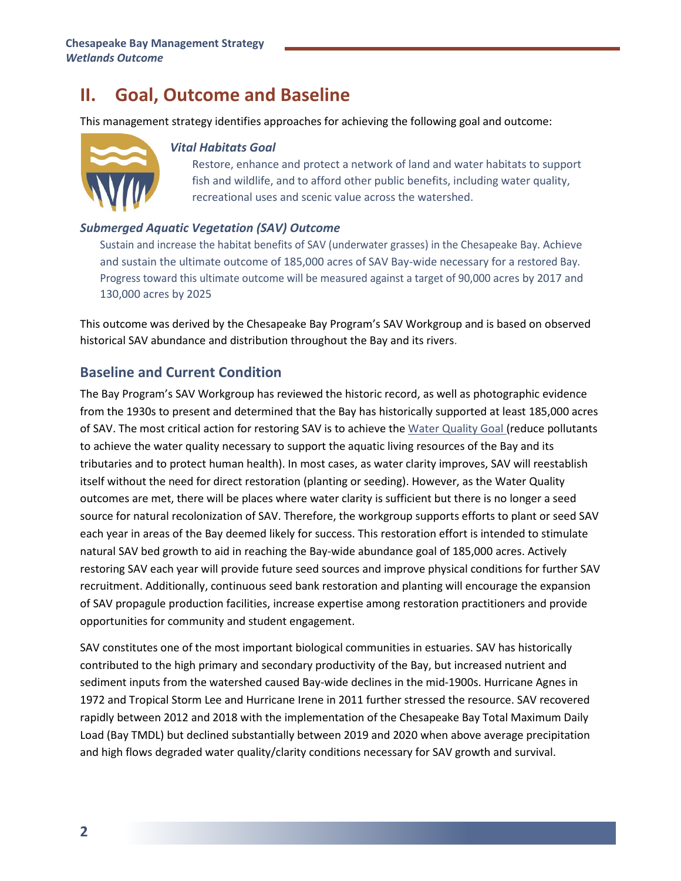# **II. Goal, Outcome and Baseline**

This management strategy identifies approaches for achieving the following goal and outcome:



### *Vital Habitats Goal*

Restore, enhance and protect a network of land and water habitats to support fish and wildlife, and to afford other public benefits, including water quality, recreational uses and scenic value across the watershed.

# *Submerged Aquatic Vegetation (SAV) Outcome*

Sustain and increase the habitat benefits of SAV (underwater grasses) in the Chesapeake Bay. Achieve and sustain the ultimate outcome of 185,000 acres of SAV Bay-wide necessary for a restored Bay. Progress toward this ultimate outcome will be measured against a target of 90,000 acres by 2017 and 130,000 acres by 2025

This outcome was derived by the Chesapeake Bay Program's SAV Workgroup and is based on observed historical SAV abundance and distribution throughout the Bay and its rivers.

# **Baseline and Current Condition**

The Bay Program's SAV Workgroup has reviewed the historic record, as well as photographic evidence from the 1930s to present and determined that the Bay has historically supported at least 185,000 acres of SAV. The most critical action for restoring SAV is to achieve the [Water Quality Goal \(](http://www.chesapeakebay.net/managementstrategies/strategy/water_quality_standards_attainment_and_monitoring)reduce pollutants to achieve the water quality necessary to support the aquatic living resources of the Bay and its tributaries and to protect human health). In most cases, as water clarity improves, SAV will reestablish itself without the need for direct restoration (planting or seeding). However, as the Water Quality outcomes are met, there will be places where water clarity is sufficient but there is no longer a seed source for natural recolonization of SAV. Therefore, the workgroup supports efforts to plant or seed SAV each year in areas of the Bay deemed likely for success. This restoration effort is intended to stimulate natural SAV bed growth to aid in reaching the Bay-wide abundance goal of 185,000 acres. Actively restoring SAV each year will provide future seed sources and improve physical conditions for further SAV recruitment. Additionally, continuous seed bank restoration and planting will encourage the expansion of SAV propagule production facilities, increase expertise among restoration practitioners and provide opportunities for community and student engagement.

SAV constitutes one of the most important biological communities in estuaries. SAV has historically contributed to the high primary and secondary productivity of the Bay, but increased nutrient and sediment inputs from the watershed caused Bay-wide declines in the mid-1900s. Hurricane Agnes in 1972 and Tropical Storm Lee and Hurricane Irene in 2011 further stressed the resource. SAV recovered rapidly between 2012 and 2018 with the implementation of the Chesapeake Bay Total Maximum Daily Load (Bay TMDL) but declined substantially between 2019 and 2020 when above average precipitation and high flows degraded water quality/clarity conditions necessary for SAV growth and survival.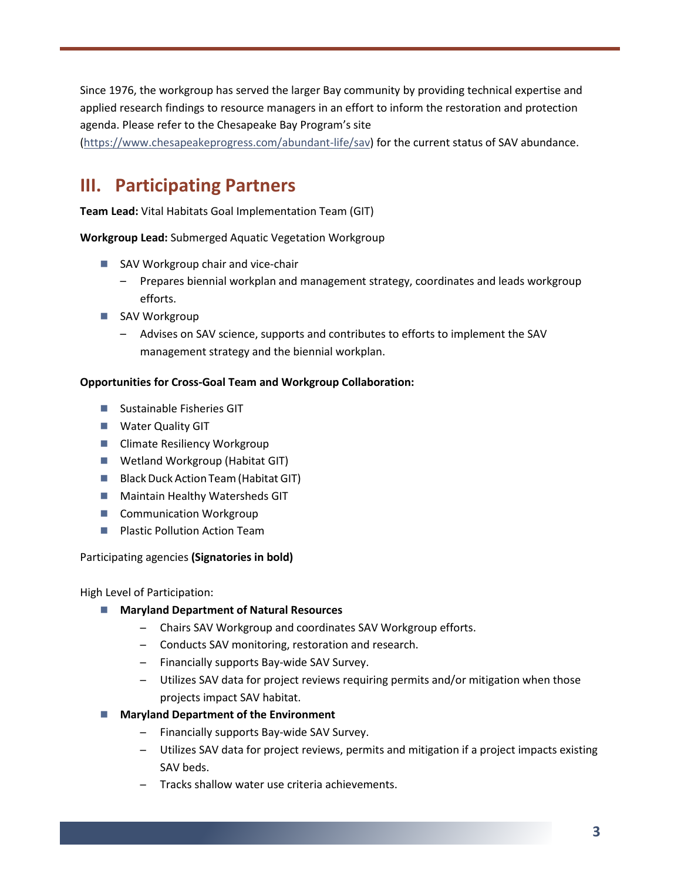Since 1976, the workgroup has served the larger Bay community by providing technical expertise and applied research findings to resource managers in an effort to inform the restoration and protection agenda. Please refer to the Chesapeake Bay Program's site

[\(https://www.chesapeakeprogress.com/abundant-life/sav\)](https://www.chesapeakeprogress.com/abundant-life/sav) for the current status of SAV abundance.

# **III. Participating Partners**

**Team Lead:** Vital Habitats Goal Implementation Team (GIT)

**Workgroup Lead:** Submerged Aquatic Vegetation Workgroup

- SAV Workgroup chair and vice-chair
	- Prepares biennial workplan and management strategy, coordinates and leads workgroup efforts.
- SAV Workgroup
	- Advises on SAV science, supports and contributes to efforts to implement the SAV management strategy and the biennial workplan.

# **Opportunities for Cross-Goal Team and Workgroup Collaboration:**

- **Sustainable Fisheries GIT**
- **Water Quality GIT**
- Climate Resiliency Workgroup
- Wetland Workgroup (Habitat GIT)
- Black Duck Action Team (Habitat GIT)
- **Maintain Healthy Watersheds GIT**
- Communication Workgroup
- **Plastic Pollution Action Team**

### Participating agencies **(Signatories in bold)**

High Level of Participation:

- Maryland Department of Natural Resources
	- Chairs SAV Workgroup and coordinates SAV Workgroup efforts.
	- Conducts SAV monitoring, restoration and research.
	- Financially supports Bay-wide SAV Survey.
	- Utilizes SAV data for project reviews requiring permits and/or mitigation when those projects impact SAV habitat.
- Maryland Department of the Environment
	- Financially supports Bay-wide SAV Survey.
	- Utilizes SAV data for project reviews, permits and mitigation if a project impacts existing SAV beds.
	- Tracks shallow water use criteria achievements.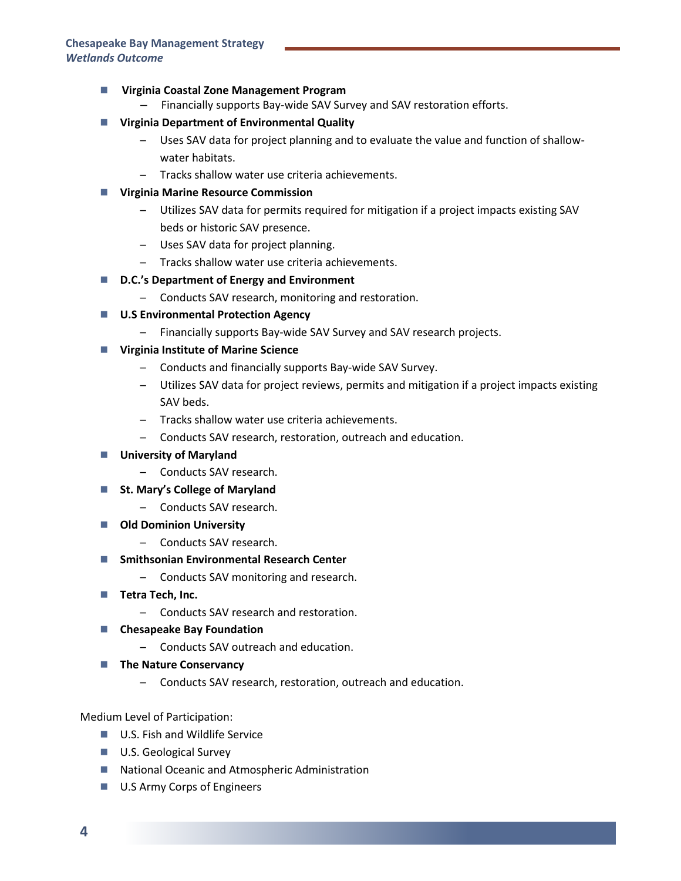### **Virginia Coastal Zone Management Program**

- Financially supports Bay-wide SAV Survey and SAV restoration efforts.
- **Virginia Department of Environmental Quality**
	- Uses SAV data for project planning and to evaluate the value and function of shallowwater habitats.
	- Tracks shallow water use criteria achievements.
- **Virginia Marine Resource Commission**
	- Utilizes SAV data for permits required for mitigation if a project impacts existing SAV beds or historic SAV presence.
	- Uses SAV data for project planning.
	- Tracks shallow water use criteria achievements.
- **D.C.'s Department of Energy and Environment** 
	- Conducts SAV research, monitoring and restoration.
- **U.S Environmental Protection Agency**
	- Financially supports Bay-wide SAV Survey and SAV research projects.
- **Virginia Institute of Marine Science**
	- Conducts and financially supports Bay-wide SAV Survey.
	- Utilizes SAV data for project reviews, permits and mitigation if a project impacts existing SAV beds.
	- Tracks shallow water use criteria achievements.
	- Conducts SAV research, restoration, outreach and education.
- **L** University of Maryland
	- Conducts SAV research.
- St. Mary's College of Maryland
	- Conducts SAV research.
- **Old Dominion University**
	- Conducts SAV research.
- Smithsonian Environmental Research Center
	- Conducts SAV monitoring and research.
- **Tetra Tech, Inc.** 
	- Conducts SAV research and restoration.
- **Chesapeake Bay Foundation**
	- Conducts SAV outreach and education.
- **The Nature Conservancy** 
	- Conducts SAV research, restoration, outreach and education.

Medium Level of Participation:

- U.S. Fish and Wildlife Service
- U.S. Geological Survey
- National Oceanic and Atmospheric Administration
- U.S Army Corps of Engineers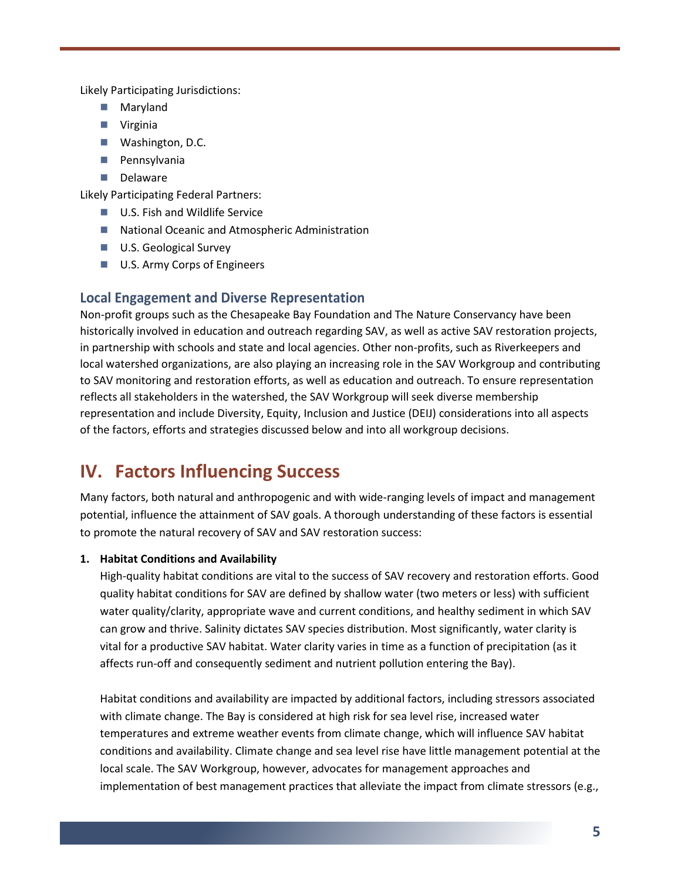Likely Participating Jurisdictions:

- **Maryland**
- **U** Virginia
- **Washington, D.C.**
- **Pennsylvania**
- Delaware

Likely Participating Federal Partners:

- U.S. Fish and Wildlife Service
- National Oceanic and Atmospheric Administration
- **U.S. Geological Survey**
- U.S. Army Corps of Engineers

# **Local Engagement and Diverse Representation**

Non-profit groups such as the Chesapeake Bay Foundation and The Nature Conservancy have been historically involved in education and outreach regarding SAV, as well as active SAV restoration projects, in partnership with schools and state and local agencies. Other non-profits, such as Riverkeepers and local watershed organizations, are also playing an increasing role in the SAV Workgroup and contributing to SAV monitoring and restoration efforts, as well as education and outreach. To ensure representation reflects all stakeholders in the watershed, the SAV Workgroup will seek diverse membership representation and include Diversity, Equity, Inclusion and Justice (DEIJ) considerations into all aspects of the factors, efforts and strategies discussed below and into all workgroup decisions.

# **IV. Factors Influencing Success**

Many factors, both natural and anthropogenic and with wide-ranging levels of impact and management potential, influence the attainment of SAV goals. A thorough understanding of these factors is essential to promote the natural recovery of SAV and SAV restoration success:

# **1. Habitat Conditions and Availability**

High-quality habitat conditions are vital to the success of SAV recovery and restoration efforts. Good quality habitat conditions for SAV are defined by shallow water (two meters or less) with sufficient water quality/clarity, appropriate wave and current conditions, and healthy sediment in which SAV can grow and thrive. Salinity dictates SAV species distribution. Most significantly, water clarity is vital for a productive SAV habitat. Water clarity varies in time as a function of precipitation (as it affects run-off and consequently sediment and nutrient pollution entering the Bay).

Habitat conditions and availability are impacted by additional factors, including stressors associated with climate change. The Bay is considered at high risk for sea level rise, increased water temperatures and extreme weather events from climate change, which will influence SAV habitat conditions and availability. Climate change and sea level rise have little management potential at the local scale. The SAV Workgroup, however, advocates for management approaches and implementation of best management practices that alleviate the impact from climate stressors (e.g.,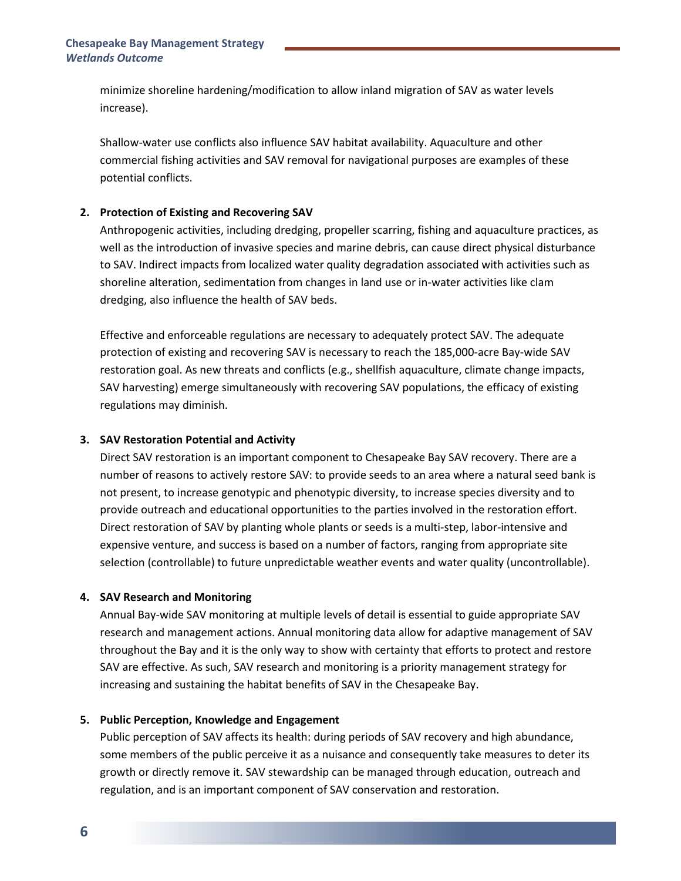minimize shoreline hardening/modification to allow inland migration of SAV as water levels increase).

Shallow-water use conflicts also influence SAV habitat availability. Aquaculture and other commercial fishing activities and SAV removal for navigational purposes are examples of these potential conflicts.

### **2. Protection of Existing and Recovering SAV**

Anthropogenic activities, including dredging, propeller scarring, fishing and aquaculture practices, as well as the introduction of invasive species and marine debris, can cause direct physical disturbance to SAV. Indirect impacts from localized water quality degradation associated with activities such as shoreline alteration, sedimentation from changes in land use or in-water activities like clam dredging, also influence the health of SAV beds.

Effective and enforceable regulations are necessary to adequately protect SAV. The adequate protection of existing and recovering SAV is necessary to reach the 185,000-acre Bay-wide SAV restoration goal. As new threats and conflicts (e.g., shellfish aquaculture, climate change impacts, SAV harvesting) emerge simultaneously with recovering SAV populations, the efficacy of existing regulations may diminish.

### **3. SAV Restoration Potential and Activity**

Direct SAV restoration is an important component to Chesapeake Bay SAV recovery. There are a number of reasons to actively restore SAV: to provide seeds to an area where a natural seed bank is not present, to increase genotypic and phenotypic diversity, to increase species diversity and to provide outreach and educational opportunities to the parties involved in the restoration effort. Direct restoration of SAV by planting whole plants or seeds is a multi-step, labor-intensive and expensive venture, and success is based on a number of factors, ranging from appropriate site selection (controllable) to future unpredictable weather events and water quality (uncontrollable).

#### **4. SAV Research and Monitoring**

Annual Bay-wide SAV monitoring at multiple levels of detail is essential to guide appropriate SAV research and management actions. Annual monitoring data allow for adaptive management of SAV throughout the Bay and it is the only way to show with certainty that efforts to protect and restore SAV are effective. As such, SAV research and monitoring is a priority management strategy for increasing and sustaining the habitat benefits of SAV in the Chesapeake Bay.

#### **5. Public Perception, Knowledge and Engagement**

Public perception of SAV affects its health: during periods of SAV recovery and high abundance, some members of the public perceive it as a nuisance and consequently take measures to deter its growth or directly remove it. SAV stewardship can be managed through education, outreach and regulation, and is an important component of SAV conservation and restoration.

**6**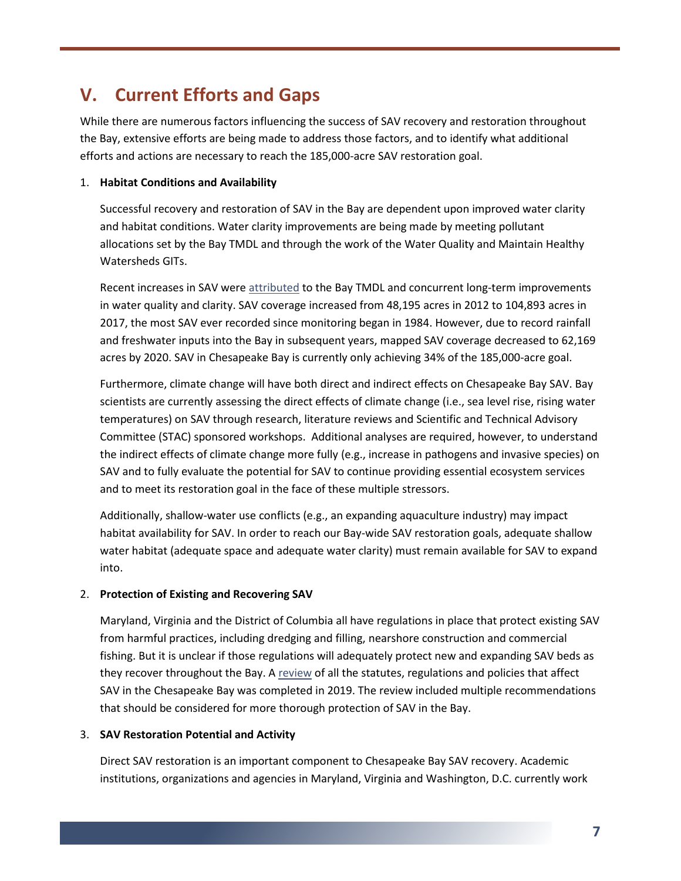# **V. Current Efforts and Gaps**

While there are numerous factors influencing the success of SAV recovery and restoration throughout the Bay, extensive efforts are being made to address those factors, and to identify what additional efforts and actions are necessary to reach the 185,000-acre SAV restoration goal.

### 1. **Habitat Conditions and Availability**

Successful recovery and restoration of SAV in the Bay are dependent upon improved water clarity and habitat conditions. Water clarity improvements are being made by meeting pollutant allocations set by the Bay TMDL and through the work of the Water Quality and Maintain Healthy Watersheds GITs.

Recent increases in SAV were [attributed](https://www.pnas.org/content/pnas/115/14/3658.full.pdf) to the Bay TMDL and concurrent long-term improvements in water quality and clarity. SAV coverage increased from 48,195 acres in 2012 to 104,893 acres in 2017, the most SAV ever recorded since monitoring began in 1984. However, due to record rainfall and freshwater inputs into the Bay in subsequent years, mapped SAV coverage decreased to 62,169 acres by 2020. SAV in Chesapeake Bay is currently only achieving 34% of the 185,000-acre goal.

Furthermore, climate change will have both direct and indirect effects on Chesapeake Bay SAV. Bay scientists are currently assessing the direct effects of climate change (i.e., sea level rise, rising water temperatures) on SAV through research, literature reviews and Scientific and Technical Advisory Committee (STAC) sponsored workshops. Additional analyses are required, however, to understand the indirect effects of climate change more fully (e.g., increase in pathogens and invasive species) on SAV and to fully evaluate the potential for SAV to continue providing essential ecosystem services and to meet its restoration goal in the face of these multiple stressors.

Additionally, shallow-water use conflicts (e.g., an expanding aquaculture industry) may impact habitat availability for SAV. In order to reach our Bay-wide SAV restoration goals, adequate shallow water habitat (adequate space and adequate water clarity) must remain available for SAV to expand into.

# 2. **Protection of Existing and Recovering SAV**

Maryland, Virginia and the District of Columbia all have regulations in place that protect existing SAV from harmful practices, including dredging and filling, nearshore construction and commercial fishing. But it is unclear if those regulations will adequately protect new and expanding SAV beds as they recover throughout the Bay. A [review](https://www.chesapeakelegal.org/wp-content/uploads/2019/07/Existing-Chesapeake-Bay-Watershed-Statutes-and-Regulations-Affecting-SAV-1.pdf) of all the statutes, regulations and policies that affect SAV in the Chesapeake Bay was completed in 2019. The review included multiple recommendations that should be considered for more thorough protection of SAV in the Bay.

### 3. **SAV Restoration Potential and Activity**

Direct SAV restoration is an important component to Chesapeake Bay SAV recovery. Academic institutions, organizations and agencies in Maryland, Virginia and Washington, D.C. currently work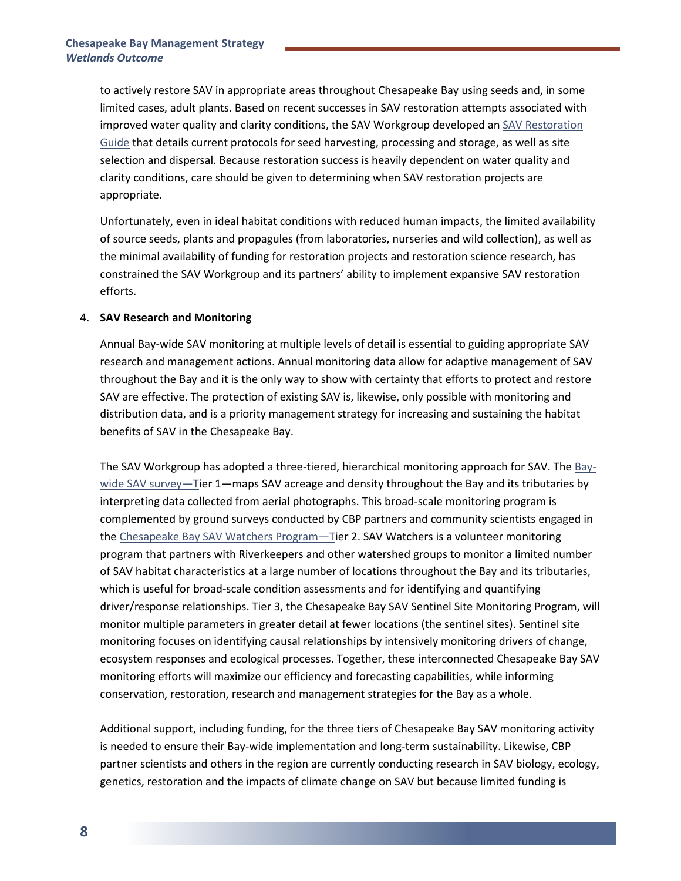to actively restore SAV in appropriate areas throughout Chesapeake Bay using seeds and, in some limited cases, adult plants. Based on recent successes in SAV restoration attempts associated with improved water quality and clarity conditions, the SAV Workgroup developed an [SAV Restoration](https://www.chesapeakebay.net/channel_files/44657/chesapeake_bay_sav_restoration_manual_cbp_sav_wg_online.pdf)  [Guide](https://www.chesapeakebay.net/channel_files/44657/chesapeake_bay_sav_restoration_manual_cbp_sav_wg_online.pdf) that details current protocols for seed harvesting, processing and storage, as well as site selection and dispersal. Because restoration success is heavily dependent on water quality and clarity conditions, care should be given to determining when SAV restoration projects are appropriate.

Unfortunately, even in ideal habitat conditions with reduced human impacts, the limited availability of source seeds, plants and propagules (from laboratories, nurseries and wild collection), as well as the minimal availability of funding for restoration projects and restoration science research, has constrained the SAV Workgroup and its partners' ability to implement expansive SAV restoration efforts.

#### 4. **SAV Research and Monitoring**

Annual Bay-wide SAV monitoring at multiple levels of detail is essential to guiding appropriate SAV research and management actions. Annual monitoring data allow for adaptive management of SAV throughout the Bay and it is the only way to show with certainty that efforts to protect and restore SAV are effective. The protection of existing SAV is, likewise, only possible with monitoring and distribution data, and is a priority management strategy for increasing and sustaining the habitat benefits of SAV in the Chesapeake Bay.

The SAV Workgroup has adopted a three-tiered, hierarchical monitoring approach for SAV. Th[e Bay](https://www.vims.edu/research/units/programs/sav/access/maps/index.php)[wide SAV survey—](https://www.vims.edu/research/units/programs/sav/access/maps/index.php)Tier 1—maps SAV acreage and density throughout the Bay and its tributaries by interpreting data collected from aerial photographs. This broad-scale monitoring program is complemented by ground surveys conducted by CBP partners and community scientists engaged in the [Chesapeake Bay SAV Watchers Program—](http://www.chesapeakebaysavwatchers.com/)Tier 2. SAV Watchers is a volunteer monitoring program that partners with Riverkeepers and other watershed groups to monitor a limited number of SAV habitat characteristics at a large number of locations throughout the Bay and its tributaries, which is useful for broad-scale condition assessments and for identifying and quantifying driver/response relationships. Tier 3, the Chesapeake Bay SAV Sentinel Site Monitoring Program, will monitor multiple parameters in greater detail at fewer locations (the sentinel sites). Sentinel site monitoring focuses on identifying causal relationships by intensively monitoring drivers of change, ecosystem responses and ecological processes. Together, these interconnected Chesapeake Bay SAV monitoring efforts will maximize our efficiency and forecasting capabilities, while informing conservation, restoration, research and management strategies for the Bay as a whole.

Additional support, including funding, for the three tiers of Chesapeake Bay SAV monitoring activity is needed to ensure their Bay-wide implementation and long-term sustainability. Likewise, CBP partner scientists and others in the region are currently conducting research in SAV biology, ecology, genetics, restoration and the impacts of climate change on SAV but because limited funding is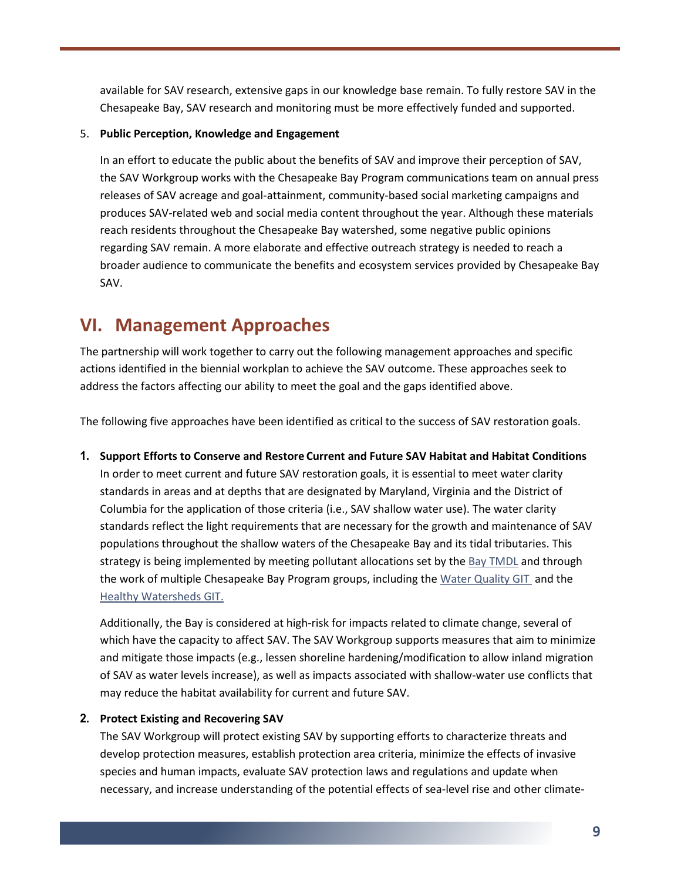available for SAV research, extensive gaps in our knowledge base remain. To fully restore SAV in the Chesapeake Bay, SAV research and monitoring must be more effectively funded and supported.

#### 5. **Public Perception, Knowledge and Engagement**

In an effort to educate the public about the benefits of SAV and improve their perception of SAV, the SAV Workgroup works with the Chesapeake Bay Program communications team on annual press releases of SAV acreage and goal-attainment, community-based social marketing campaigns and produces SAV-related web and social media content throughout the year. Although these materials reach residents throughout the Chesapeake Bay watershed, some negative public opinions regarding SAV remain. A more elaborate and effective outreach strategy is needed to reach a broader audience to communicate the benefits and ecosystem services provided by Chesapeake Bay SAV.

# **VI. Management Approaches**

The partnership will work together to carry out the following management approaches and specific actions identified in the biennial workplan to achieve the SAV outcome. These approaches seek to address the factors affecting our ability to meet the goal and the gaps identified above.

The following five approaches have been identified as critical to the success of SAV restoration goals.

**1. Support Efforts to Conserve and Restore Current and Future SAV Habitat and Habitat Conditions** In order to meet current and future SAV restoration goals, it is essential to meet water clarity standards in areas and at depths that are designated by Maryland, Virginia and the District of Columbia for the application of those criteria (i.e., SAV shallow water use). The water clarity standards reflect the light requirements that are necessary for the growth and maintenance of SAV populations throughout the shallow waters of the Chesapeake Bay and its tidal tributaries. This strategy is being implemented by meeting pollutant allocations set by the [Bay TMDL](http://www.epa.gov/chesapeakebaytmdl/) and through the work of multiple Chesapeake Bay Program groups, including th[e Water Quality GIT](http://www.chesapeakebay.net/groups/group/water_quality_goal_implementation_team) and the [Healthy Watersheds GIT.](http://www.chesapeakebay.net/groups/group/maintaining_healthy_watersheds_goal_implementation_team) 

Additionally, the Bay is considered at high-risk for impacts related to climate change, several of which have the capacity to affect SAV. The SAV Workgroup supports measures that aim to minimize and mitigate those impacts (e.g., lessen shoreline hardening/modification to allow inland migration of SAV as water levels increase), as well as impacts associated with shallow-water use conflicts that may reduce the habitat availability for current and future SAV.

#### **2. Protect Existing and Recovering SAV**

The SAV Workgroup will protect existing SAV by supporting efforts to characterize threats and develop protection measures, establish protection area criteria, minimize the effects of invasive species and human impacts, evaluate SAV protection laws and regulations and update when necessary, and increase understanding of the potential effects of sea-level rise and other climate-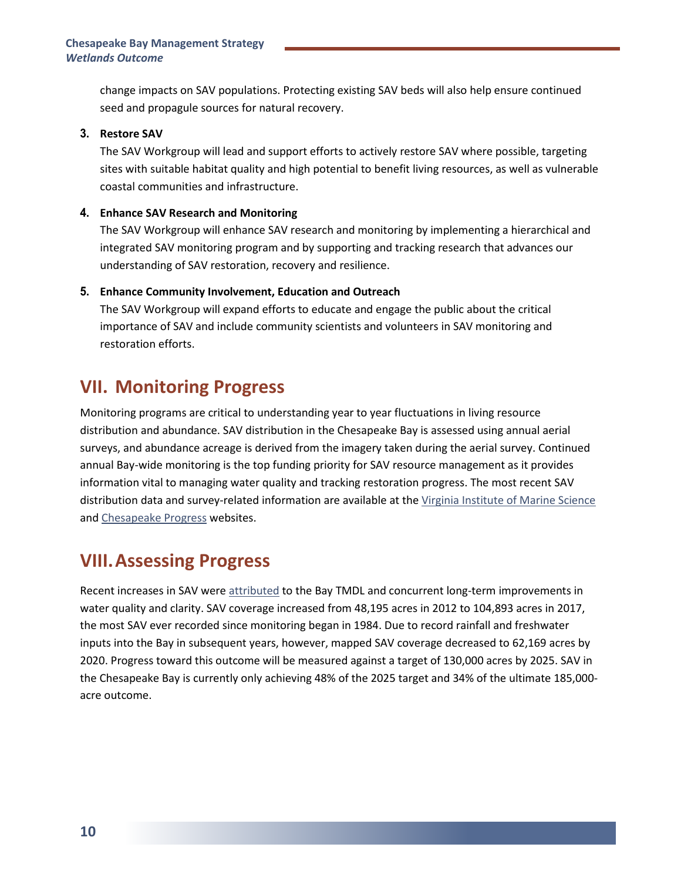change impacts on SAV populations. Protecting existing SAV beds will also help ensure continued seed and propagule sources for natural recovery.

### **3. Restore SAV**

The SAV Workgroup will lead and support efforts to actively restore SAV where possible, targeting sites with suitable habitat quality and high potential to benefit living resources, as well as vulnerable coastal communities and infrastructure.

#### **4. Enhance SAV Research and Monitoring**

The SAV Workgroup will enhance SAV research and monitoring by implementing a hierarchical and integrated SAV monitoring program and by supporting and tracking research that advances our understanding of SAV restoration, recovery and resilience.

### **5. Enhance Community Involvement, Education and Outreach**

The SAV Workgroup will expand efforts to educate and engage the public about the critical importance of SAV and include community scientists and volunteers in SAV monitoring and restoration efforts.

# **VII. Monitoring Progress**

Monitoring programs are critical to understanding year to year fluctuations in living resource distribution and abundance. SAV distribution in the Chesapeake Bay is assessed using annual aerial surveys, and abundance acreage is derived from the imagery taken during the aerial survey. Continued annual Bay-wide monitoring is the top funding priority for SAV resource management as it provides information vital to managing water quality and tracking restoration progress. The most recent SAV distribution data and survey-related information are available at the [Virginia Institute of Marine Science](http://www.vims.edu/bio/sav/)  and [Chesapeake Progress](https://www.chesapeakeprogress.com/abundant-life/sav) websites.

# **VIII.Assessing Progress**

Recent increases in SAV were [attributed](https://www.pnas.org/content/pnas/115/14/3658.full.pdf) to the Bay TMDL and concurrent long-term improvements in water quality and clarity. SAV coverage increased from 48,195 acres in 2012 to 104,893 acres in 2017, the most SAV ever recorded since monitoring began in 1984. Due to record rainfall and freshwater inputs into the Bay in subsequent years, however, mapped SAV coverage decreased to 62,169 acres by 2020. Progress toward this outcome will be measured against a target of 130,000 acres by 2025. SAV in the Chesapeake Bay is currently only achieving 48% of the 2025 target and 34% of the ultimate 185,000 acre outcome.